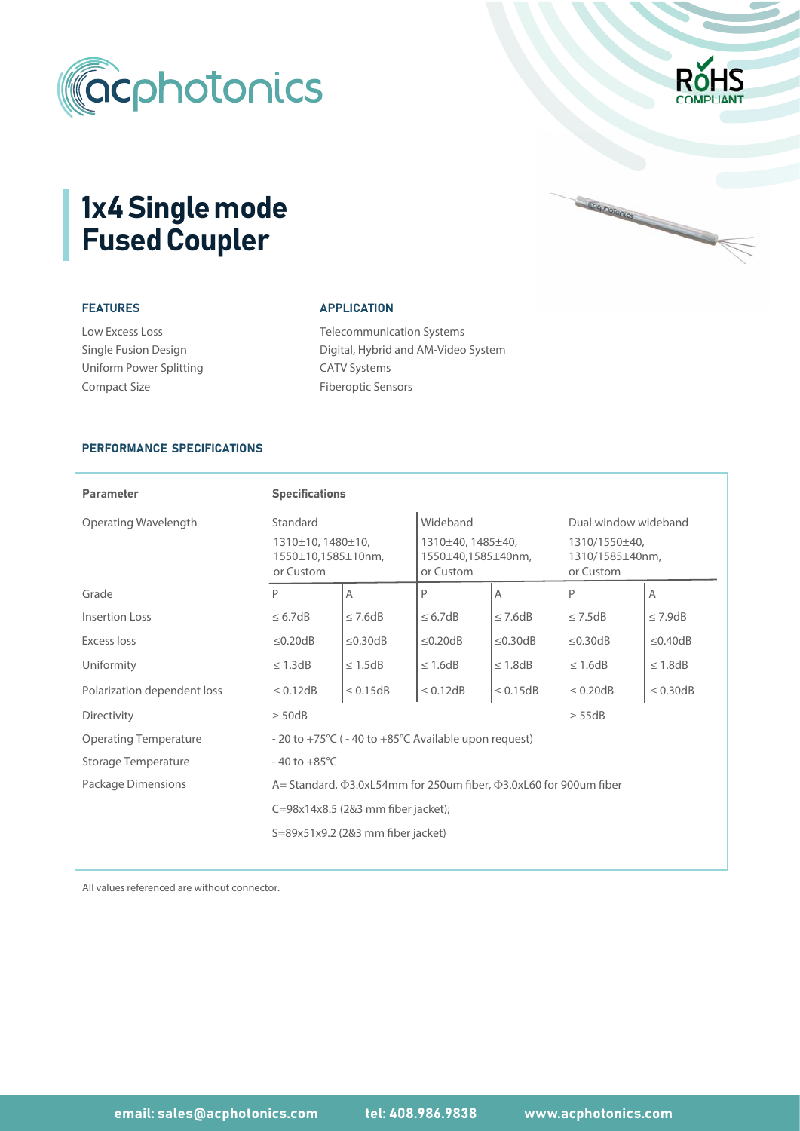



Cocohotonics

# 1x4 Single mode Fused Coupler

## FEATURES

| <b>Low Excess Loss</b>  |
|-------------------------|
| Single Fusion Design    |
| Uniform Power Splitting |
| Compact Size            |

## APPLICATION

Telecommunication Systems CATV Systems Fiberoptic Sensors Digital, Hybrid and AM-Video System

#### PERFORMANCE SPECIFICATIONS

| <b>Parameter</b>             | <b>Specifications</b>                                                                                                                                                                                     |                |                                                                  |               |                                                                       |                |  |
|------------------------------|-----------------------------------------------------------------------------------------------------------------------------------------------------------------------------------------------------------|----------------|------------------------------------------------------------------|---------------|-----------------------------------------------------------------------|----------------|--|
| Operating Wavelength         | Standard<br>1310±10, 1480±10,<br>1550±10,1585±10nm,<br>or Custom                                                                                                                                          |                | Wideband<br>1310±40, 1485±40,<br>1550±40,1585±40nm,<br>or Custom |               | Dual window wideband<br>1310/1550±40,<br>1310/1585±40nm,<br>or Custom |                |  |
| Grade                        | P                                                                                                                                                                                                         | $\overline{A}$ | P                                                                | A             | P                                                                     | $\overline{A}$ |  |
| Insertion Loss               | $\leq 6.7dB$                                                                                                                                                                                              | $\leq$ 7.6dB   | $\leq 6.7dB$                                                     | $\leq$ 7.6dB  | $\leq$ 7.5dB                                                          | $\leq$ 7.9dB   |  |
| <b>Excess loss</b>           | $\leq$ 0.20dB                                                                                                                                                                                             | $\leq$ 0.30dB  | $\leq$ 0.20dB                                                    | $\leq$ 0.30dB | $\leq$ 0.30dB                                                         | $\leq$ 0.40dB  |  |
| Uniformity                   | $\leq$ 1.3dB                                                                                                                                                                                              | $\leq 1.5$ dB  | $\leq 1.6$ dB                                                    | $\leq$ 1.8dB  | $\leq$ 1.6dB                                                          | $\leq$ 1.8dB   |  |
| Polarization dependent loss  | $\leq$ 0.12dB                                                                                                                                                                                             | $\leq 0.15dB$  | $\leq 0.12$ dB                                                   | $\leq 0.15dB$ | $\leq$ 0.20dB                                                         | $\leq$ 0.30dB  |  |
| Directivity                  | $\geq$ 50dB                                                                                                                                                                                               |                |                                                                  |               | $\geq$ 55dB                                                           |                |  |
| <b>Operating Temperature</b> | - 20 to +75°C ( - 40 to +85°C Available upon request)<br>$-40$ to $+85^{\circ}$ C<br>A = Standard, $\Phi$ 3.0xL54mm for 250um fiber, $\Phi$ 3.0xL60 for 900um fiber<br>C=98x14x8.5 (2&3 mm fiber jacket); |                |                                                                  |               |                                                                       |                |  |
| Storage Temperature          |                                                                                                                                                                                                           |                |                                                                  |               |                                                                       |                |  |
| Package Dimensions           |                                                                                                                                                                                                           |                |                                                                  |               |                                                                       |                |  |
|                              |                                                                                                                                                                                                           |                |                                                                  |               |                                                                       |                |  |
|                              | S=89x51x9.2 (2&3 mm fiber jacket)                                                                                                                                                                         |                |                                                                  |               |                                                                       |                |  |

All values referenced are without connector.